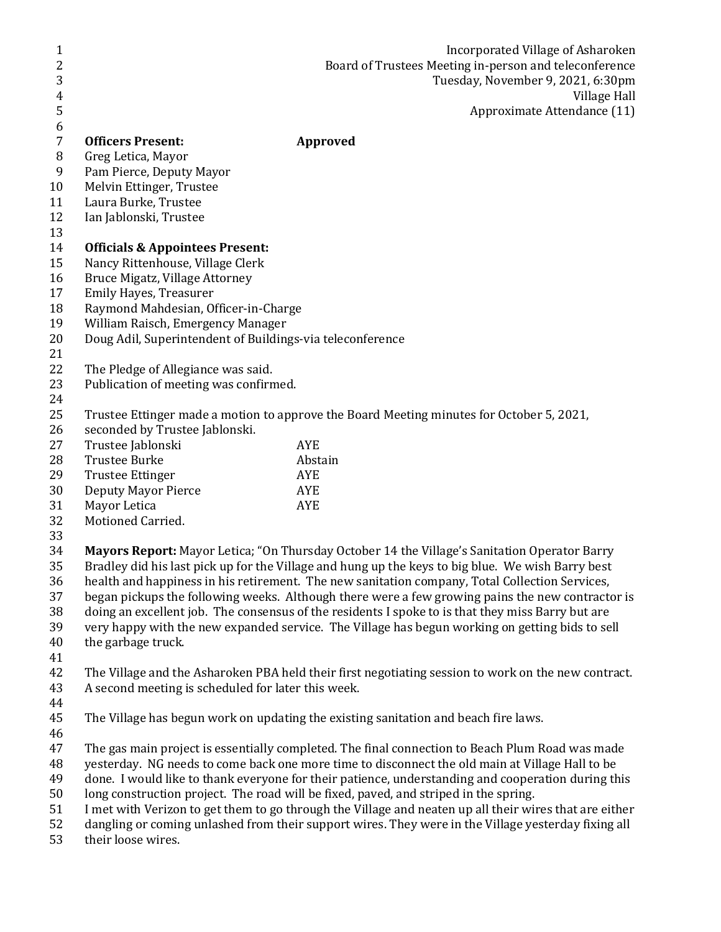| 1                |                                                           | Incorporated Village of Asharoken                                                                      |
|------------------|-----------------------------------------------------------|--------------------------------------------------------------------------------------------------------|
| $\overline{c}$   |                                                           | Board of Trustees Meeting in-person and teleconference                                                 |
| 3                |                                                           | Tuesday, November 9, 2021, 6:30pm                                                                      |
| 4                |                                                           | Village Hall                                                                                           |
| 5                |                                                           | Approximate Attendance (11)                                                                            |
| 6                |                                                           |                                                                                                        |
| $\overline{7}$   | <b>Officers Present:</b>                                  | <b>Approved</b>                                                                                        |
| 8                | Greg Letica, Mayor                                        |                                                                                                        |
| $\boldsymbol{9}$ | Pam Pierce, Deputy Mayor                                  |                                                                                                        |
| 10               | Melvin Ettinger, Trustee                                  |                                                                                                        |
| 11               | Laura Burke, Trustee                                      |                                                                                                        |
| 12               | Ian Jablonski, Trustee                                    |                                                                                                        |
| 13               |                                                           |                                                                                                        |
| 14               | <b>Officials &amp; Appointees Present:</b>                |                                                                                                        |
| 15               | Nancy Rittenhouse, Village Clerk                          |                                                                                                        |
| 16               | Bruce Migatz, Village Attorney                            |                                                                                                        |
| 17               | Emily Hayes, Treasurer                                    |                                                                                                        |
| 18               | Raymond Mahdesian, Officer-in-Charge                      |                                                                                                        |
| 19               | William Raisch, Emergency Manager                         |                                                                                                        |
| 20               | Doug Adil, Superintendent of Buildings-via teleconference |                                                                                                        |
| 21               |                                                           |                                                                                                        |
| 22               | The Pledge of Allegiance was said.                        |                                                                                                        |
| 23               | Publication of meeting was confirmed.                     |                                                                                                        |
| 24               |                                                           |                                                                                                        |
| 25               |                                                           | Trustee Ettinger made a motion to approve the Board Meeting minutes for October 5, 2021,               |
| 26               | seconded by Trustee Jablonski.                            |                                                                                                        |
| 27               | Trustee Jablonski                                         | <b>AYE</b>                                                                                             |
| 28               | <b>Trustee Burke</b>                                      | Abstain                                                                                                |
| 29               | <b>Trustee Ettinger</b>                                   | <b>AYE</b>                                                                                             |
| 30               | <b>Deputy Mayor Pierce</b>                                | <b>AYE</b>                                                                                             |
| 31               | Mayor Letica                                              | <b>AYE</b>                                                                                             |
| 32               | Motioned Carried.                                         |                                                                                                        |
| 33               |                                                           |                                                                                                        |
| 34               |                                                           | Mayors Report: Mayor Letica; "On Thursday October 14 the Village's Sanitation Operator Barry           |
| 35               |                                                           | Bradley did his last pick up for the Village and hung up the keys to big blue. We wish Barry best      |
| 36               |                                                           | health and happiness in his retirement. The new sanitation company, Total Collection Services,         |
| 37               |                                                           | began pickups the following weeks. Although there were a few growing pains the new contractor is       |
| 38               |                                                           | doing an excellent job. The consensus of the residents I spoke to is that they miss Barry but are      |
| 39               |                                                           | very happy with the new expanded service. The Village has begun working on getting bids to sell        |
| 40               | the garbage truck.                                        |                                                                                                        |
| 41               |                                                           |                                                                                                        |
| 42<br>43         | A second meeting is scheduled for later this week.        | The Village and the Asharoken PBA held their first negotiating session to work on the new contract.    |
| 44               |                                                           |                                                                                                        |
| 45               |                                                           | The Village has begun work on updating the existing sanitation and beach fire laws.                    |
| 46               |                                                           |                                                                                                        |
| 47               |                                                           | The gas main project is essentially completed. The final connection to Beach Plum Road was made        |
| 48               |                                                           | yesterday. NG needs to come back one more time to disconnect the old main at Village Hall to be        |
| 49               |                                                           | done. I would like to thank everyone for their patience, understanding and cooperation during this     |
| 50               |                                                           | long construction project. The road will be fixed, paved, and striped in the spring.                   |
| 51               |                                                           | I met with Verizon to get them to go through the Village and neaten up all their wires that are either |
| 52               |                                                           | dangling or coming unlashed from their support wires. They were in the Village yesterday fixing all    |
| 53               | their loose wires.                                        |                                                                                                        |
|                  |                                                           |                                                                                                        |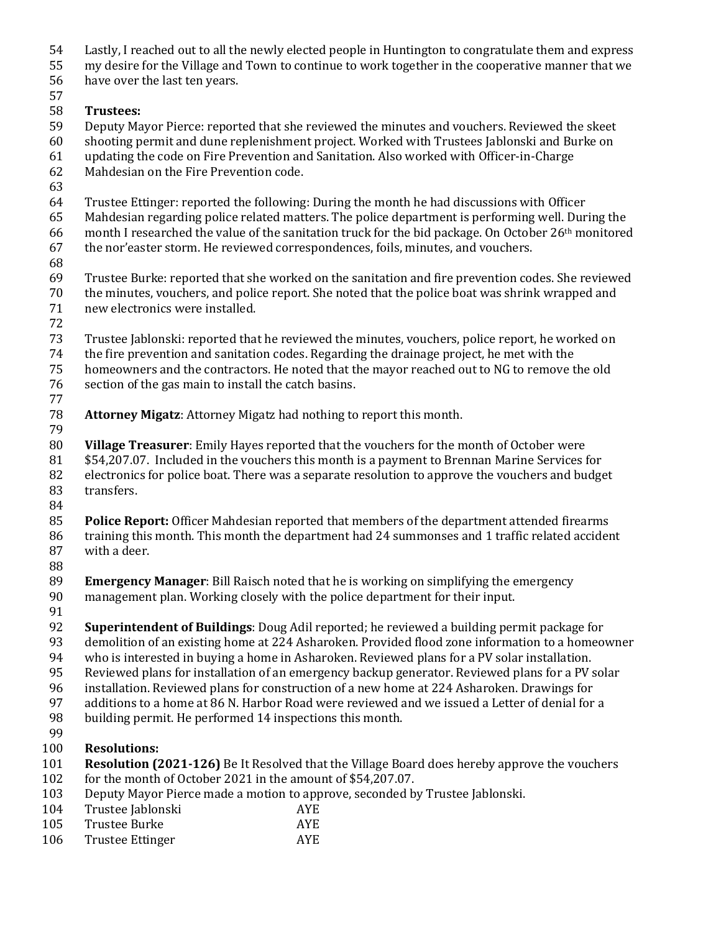- Lastly, I reached out to all the newly elected people in Huntington to congratulate them and express
- my desire for the Village and Town to continue to work together in the cooperative manner that we
- have over the last ten years.

## **Trustees:**

- Deputy Mayor Pierce: reported that she reviewed the minutes and vouchers. Reviewed the skeet
- shooting permit and dune replenishment project. Worked with Trustees Jablonski and Burke on
- updating the code on Fire Prevention and Sanitation. Also worked with Officer-in-Charge
- Mahdesian on the Fire Prevention code.
- 
- Trustee Ettinger: reported the following: During the month he had discussions with Officer
- Mahdesian regarding police related matters. The police department is performing well. During the
- month I researched the value of the sanitation truck for the bid package. On October 26th monitored
- the nor'easter storm. He reviewed correspondences, foils, minutes, and vouchers.
- 
- Trustee Burke: reported that she worked on the sanitation and fire prevention codes. She reviewed the minutes, vouchers, and police report. She noted that the police boat was shrink wrapped and
- new electronics were installed.
- 
- Trustee Jablonski: reported that he reviewed the minutes, vouchers, police report, he worked on
- the fire prevention and sanitation codes. Regarding the drainage project, he met with the
- homeowners and the contractors. He noted that the mayor reached out to NG to remove the old
- section of the gas main to install the catch basins.
- 
- **Attorney Migatz**: Attorney Migatz had nothing to report this month.
- 
- **Village Treasurer**: Emily Hayes reported that the vouchers for the month of October were
- \$54,207.07. Included in the vouchers this month is a payment to Brennan Marine Services for
- electronics for police boat. There was a separate resolution to approve the vouchers and budget transfers.
- 
- **Police Report:** Officer Mahdesian reported that members of the department attended firearms training this month. This month the department had 24 summonses and 1 traffic related accident with a deer.
- 
- **Emergency Manager**: Bill Raisch noted that he is working on simplifying the emergency
- management plan. Working closely with the police department for their input.
- 
- **Superintendent of Buildings**: Doug Adil reported; he reviewed a building permit package for
- demolition of an existing home at 224 Asharoken. Provided flood zone information to a homeowner
- who is interested in buying a home in Asharoken. Reviewed plans for a PV solar installation.
- Reviewed plans for installation of an emergency backup generator. Reviewed plans for a PV solar
- installation. Reviewed plans for construction of a new home at 224 Asharoken. Drawings for
- additions to a home at 86 N. Harbor Road were reviewed and we issued a Letter of denial for a
- building permit. He performed 14 inspections this month.
- 
- **Resolutions:**
- **Resolution (2021-126)** Be It Resolved that the Village Board does hereby approve the vouchers for the month of October 2021 in the amount of \$54,207.07.
- Deputy Mayor Pierce made a motion to approve, seconded by Trustee Jablonski.
- Trustee Jablonski AYE
- Trustee Burke AYE
- 106 Trustee Ettinger AYE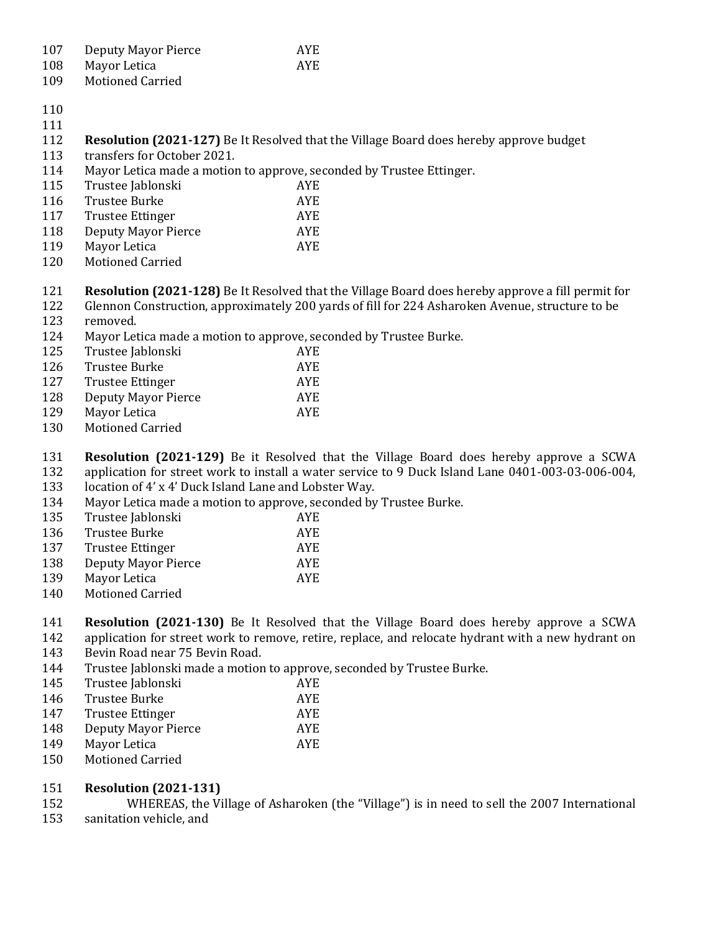| 107 | Deputy Mayor Pierce | <b>AYE</b> |
|-----|---------------------|------------|
|-----|---------------------|------------|

- Mayor Letica AYE
- Motioned Carried
- 
- 
- **Resolution (2021-127)** Be It Resolved that the Village Board does hereby approve budget
- transfers for October 2021.
- Mayor Letica made a motion to approve, seconded by Trustee Ettinger.
- Trustee Jablonski AYE Trustee Burke AYE 117 Trustee Ettinger AYE Deputy Mayor Pierce AYE 119 Mayor Letica AYE
- Motioned Carried
- **Resolution (2021-128)** Be It Resolved that the Village Board does hereby approve a fill permit for
- Glennon Construction, approximately 200 yards of fill for 224 Asharoken Avenue, structure to be removed.
- Mayor Letica made a motion to approve, seconded by Trustee Burke.

| 125 | Trustee Jablonski       | AYE. |
|-----|-------------------------|------|
| 126 | Trustee Burke           | AYE. |
| 127 | <b>Trustee Ettinger</b> | AYE. |
| 128 | Deputy Mayor Pierce     | AYE. |
| 129 | Mayor Letica            | AYE. |
| 120 | Motionad Carriod        |      |

Motioned Carried

 **Resolution (2021-129)** Be it Resolved that the Village Board does hereby approve a SCWA application for street work to install a water service to 9 Duck Island Lane 0401-003-03-006-004,

location of 4' x 4' Duck Island Lane and Lobster Way.

Mayor Letica made a motion to approve, seconded by Trustee Burke.

| 135 | Trustee Jablonski   | AYE. |
|-----|---------------------|------|
| 136 | Trustee Burke       | AYE. |
| 137 | Trustee Ettinger    | AYE  |
| 138 | Deputy Mayor Pierce | AYE. |
| 139 | Mayor Letica        | AYE. |

Motioned Carried

**Resolution (2021-130)** Be It Resolved that the Village Board does hereby approve a SCWA

- application for street work to remove, retire, replace, and relocate hydrant with a new hydrant on Bevin Road near 75 Bevin Road.
- Trustee Jablonski made a motion to approve, seconded by Trustee Burke.

| Trustee Jablonski   | AYE. |
|---------------------|------|
| Trustee Burke       | AYE. |
| Trustee Ettinger    | AYE. |
| Deputy Mayor Pierce | AYE. |
|                     |      |

- 149 Mayor Letica AYE
- Motioned Carried

## **Resolution (2021-131)**

 WHEREAS, the Village of Asharoken (the "Village") is in need to sell the 2007 International sanitation vehicle, and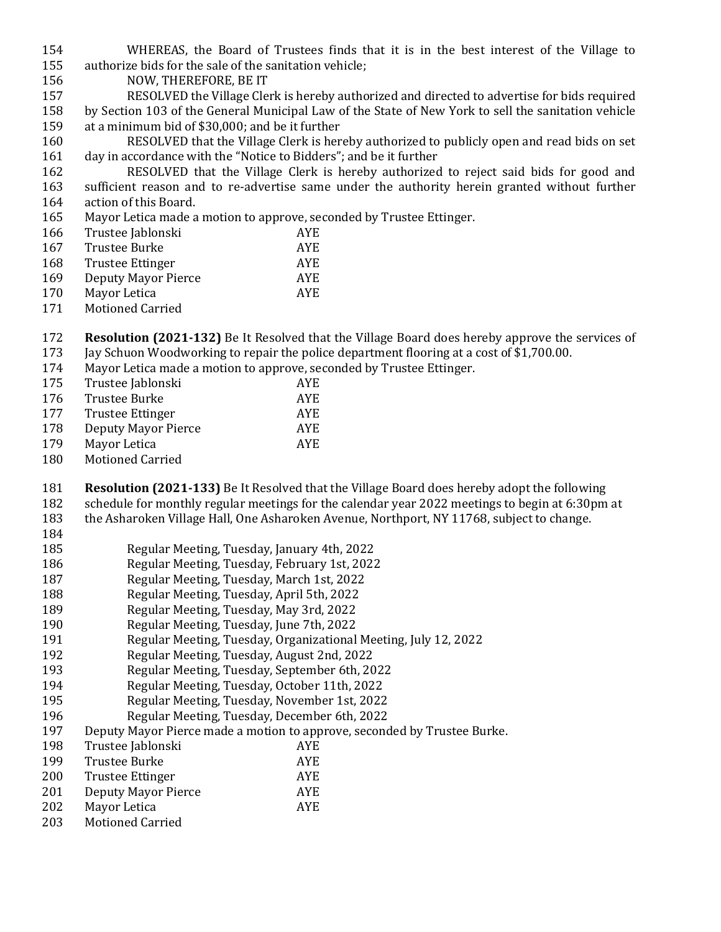- WHEREAS, the Board of Trustees finds that it is in the best interest of the Village to authorize bids for the sale of the sanitation vehicle;
- NOW, THEREFORE, BE IT
- RESOLVED the Village Clerk is hereby authorized and directed to advertise for bids required by Section 103 of the General Municipal Law of the State of New York to sell the sanitation vehicle at a minimum bid of \$30,000; and be it further
- RESOLVED that the Village Clerk is hereby authorized to publicly open and read bids on set day in accordance with the "Notice to Bidders"; and be it further
- RESOLVED that the Village Clerk is hereby authorized to reject said bids for good and sufficient reason and to re-advertise same under the authority herein granted without further action of this Board.
- Mayor Letica made a motion to approve, seconded by Trustee Ettinger.

| 166 | Trustee Jablonski       | <b>AYE</b> |
|-----|-------------------------|------------|
| 167 | Trustee Burke           | AYE.       |
| 168 | <b>Trustee Ettinger</b> | AYE.       |
| 169 | Deputy Mayor Pierce     | AYE.       |
| 170 | Mayor Letica            | AYE.       |
|     |                         |            |

- Motioned Carried
- **Resolution (2021-132)** Be It Resolved that the Village Board does hereby approve the services of Jay Schuon Woodworking to repair the police department flooring at a cost of \$1,700.00.
- Mayor Letica made a motion to approve, seconded by Trustee Ettinger.

| 175 | Trustee Jablonski       | AYE. |
|-----|-------------------------|------|
| 176 | <b>Trustee Burke</b>    | AYE. |
| 177 | Trustee Ettinger        | AYE. |
| 178 | Deputy Mayor Pierce     | AYE. |
| 179 | Mayor Letica            | AYE. |
| 180 | <b>Motioned Carried</b> |      |

**Resolution (2021-133)** Be It Resolved that the Village Board does hereby adopt the following

- schedule for monthly regular meetings for the calendar year 2022 meetings to begin at 6:30pm at
- the Asharoken Village Hall, One Asharoken Avenue, Northport, NY 11768, subject to change.
- 
- Regular Meeting, Tuesday, January 4th, 2022
- Regular Meeting, Tuesday, February 1st, 2022
- Regular Meeting, Tuesday, March 1st, 2022
- Regular Meeting, Tuesday, April 5th, 2022
- Regular Meeting, Tuesday, May 3rd, 2022
- Regular Meeting, Tuesday, June 7th, 2022
- Regular Meeting, Tuesday, Organizational Meeting, July 12, 2022
- Regular Meeting, Tuesday, August 2nd, 2022
- Regular Meeting, Tuesday, September 6th, 2022
- Regular Meeting, Tuesday, October 11th, 2022
- Regular Meeting, Tuesday, November 1st, 2022
- Regular Meeting, Tuesday, December 6th, 2022
- Deputy Mayor Pierce made a motion to approve, seconded by Trustee Burke.
- Trustee Jablonski AYE
- Trustee Burke AYE
- Trustee Ettinger AYE
- Deputy Mayor Pierce AYE
- Mayor Letica AYE
- Motioned Carried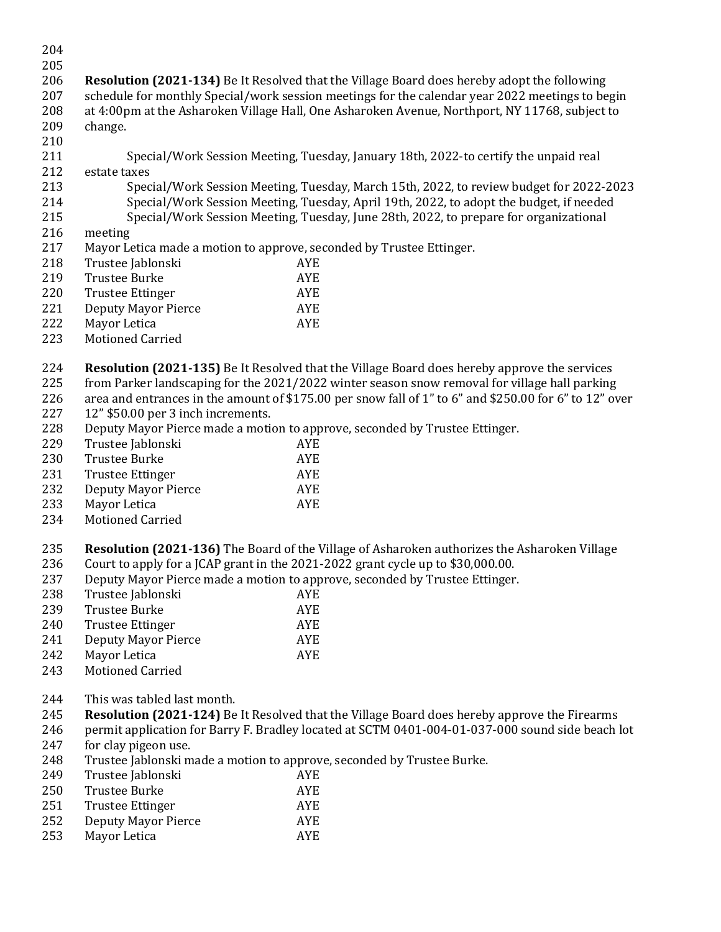| 204 |                                                                                                  |                                                                                                        |  |
|-----|--------------------------------------------------------------------------------------------------|--------------------------------------------------------------------------------------------------------|--|
| 205 |                                                                                                  |                                                                                                        |  |
| 206 |                                                                                                  | <b>Resolution (2021-134)</b> Be It Resolved that the Village Board does hereby adopt the following     |  |
| 207 |                                                                                                  | schedule for monthly Special/work session meetings for the calendar year 2022 meetings to begin        |  |
| 208 |                                                                                                  | at 4:00pm at the Asharoken Village Hall, One Asharoken Avenue, Northport, NY 11768, subject to         |  |
| 209 | change.                                                                                          |                                                                                                        |  |
| 210 |                                                                                                  |                                                                                                        |  |
|     |                                                                                                  |                                                                                                        |  |
| 211 |                                                                                                  | Special/Work Session Meeting, Tuesday, January 18th, 2022-to certify the unpaid real                   |  |
| 212 | estate taxes                                                                                     |                                                                                                        |  |
| 213 |                                                                                                  | Special/Work Session Meeting, Tuesday, March 15th, 2022, to review budget for 2022-2023                |  |
| 214 |                                                                                                  | Special/Work Session Meeting, Tuesday, April 19th, 2022, to adopt the budget, if needed                |  |
| 215 |                                                                                                  | Special/Work Session Meeting, Tuesday, June 28th, 2022, to prepare for organizational                  |  |
| 216 | meeting                                                                                          |                                                                                                        |  |
| 217 | Mayor Letica made a motion to approve, seconded by Trustee Ettinger.                             |                                                                                                        |  |
| 218 | Trustee Jablonski                                                                                | <b>AYE</b>                                                                                             |  |
| 219 | <b>Trustee Burke</b>                                                                             | <b>AYE</b>                                                                                             |  |
| 220 | <b>Trustee Ettinger</b>                                                                          | <b>AYE</b>                                                                                             |  |
| 221 | <b>Deputy Mayor Pierce</b>                                                                       | <b>AYE</b>                                                                                             |  |
| 222 | Mayor Letica                                                                                     | <b>AYE</b>                                                                                             |  |
| 223 | <b>Motioned Carried</b>                                                                          |                                                                                                        |  |
|     |                                                                                                  |                                                                                                        |  |
| 224 |                                                                                                  | <b>Resolution (2021-135)</b> Be It Resolved that the Village Board does hereby approve the services    |  |
| 225 |                                                                                                  |                                                                                                        |  |
|     |                                                                                                  | from Parker landscaping for the 2021/2022 winter season snow removal for village hall parking          |  |
| 226 |                                                                                                  | area and entrances in the amount of \$175.00 per snow fall of 1" to 6" and \$250.00 for 6" to 12" over |  |
| 227 | 12" \$50.00 per 3 inch increments.                                                               |                                                                                                        |  |
| 228 |                                                                                                  | Deputy Mayor Pierce made a motion to approve, seconded by Trustee Ettinger.                            |  |
| 229 | Trustee Jablonski                                                                                | <b>AYE</b>                                                                                             |  |
| 230 | <b>Trustee Burke</b>                                                                             | <b>AYE</b>                                                                                             |  |
| 231 | <b>Trustee Ettinger</b>                                                                          | AYE                                                                                                    |  |
| 232 | <b>Deputy Mayor Pierce</b>                                                                       | <b>AYE</b>                                                                                             |  |
| 233 | Mayor Letica                                                                                     | <b>AYE</b>                                                                                             |  |
| 234 | Motioned Carried                                                                                 |                                                                                                        |  |
|     |                                                                                                  |                                                                                                        |  |
| 235 |                                                                                                  | Resolution (2021-136) The Board of the Village of Asharoken authorizes the Asharoken Village           |  |
| 236 |                                                                                                  | Court to apply for a JCAP grant in the 2021-2022 grant cycle up to \$30,000.00.                        |  |
| 237 |                                                                                                  | Deputy Mayor Pierce made a motion to approve, seconded by Trustee Ettinger.                            |  |
| 238 | Trustee Jablonski                                                                                | AYE                                                                                                    |  |
| 239 | <b>Trustee Burke</b>                                                                             | AYE                                                                                                    |  |
| 240 | <b>Trustee Ettinger</b>                                                                          | <b>AYE</b>                                                                                             |  |
| 241 | <b>Deputy Mayor Pierce</b>                                                                       | <b>AYE</b>                                                                                             |  |
| 242 | Mayor Letica                                                                                     | <b>AYE</b>                                                                                             |  |
| 243 | <b>Motioned Carried</b>                                                                          |                                                                                                        |  |
|     |                                                                                                  |                                                                                                        |  |
| 244 | This was tabled last month.                                                                      |                                                                                                        |  |
| 245 |                                                                                                  | <b>Resolution (2021-124)</b> Be It Resolved that the Village Board does hereby approve the Firearms    |  |
|     |                                                                                                  |                                                                                                        |  |
| 246 | permit application for Barry F. Bradley located at SCTM 0401-004-01-037-000 sound side beach lot |                                                                                                        |  |
| 247 | for clay pigeon use.                                                                             |                                                                                                        |  |
| 248 | Trustee Jablonski made a motion to approve, seconded by Trustee Burke.                           |                                                                                                        |  |
| 249 | Trustee Jablonski                                                                                | AYE                                                                                                    |  |
| 250 | <b>Trustee Burke</b>                                                                             | <b>AYE</b>                                                                                             |  |
| 251 | <b>Trustee Ettinger</b>                                                                          | AYE                                                                                                    |  |
| 252 | <b>Deputy Mayor Pierce</b>                                                                       | AYE                                                                                                    |  |
| 253 | Mayor Letica                                                                                     | <b>AYE</b>                                                                                             |  |
|     |                                                                                                  |                                                                                                        |  |